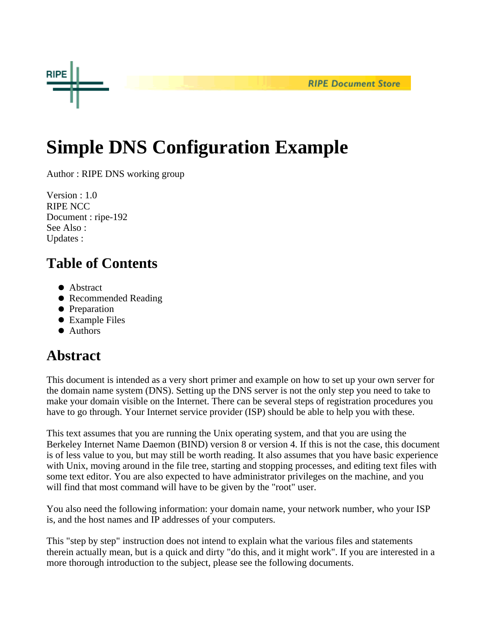

# **Simple DNS Configuration Example**

Author : RIPE DNS working group

Version : 1.0 RIPE NCC Document : ripe-192 See Also : Updates :

# **Table of Contents**

- Abstract
- Recommended Reading
- Preparation
- Example Files
- Authors

## **Abstract**

This document is intended as a very short primer and example on how to set up your own server for the domain name system (DNS). Setting up the DNS server is not the only step you need to take to make your domain visible on the Internet. There can be several steps of registration procedures you have to go through. Your Internet service provider (ISP) should be able to help you with these.

This text assumes that you are running the Unix operating system, and that you are using the Berkeley Internet Name Daemon (BIND) version 8 or version 4. If this is not the case, this document is of less value to you, but may still be worth reading. It also assumes that you have basic experience with Unix, moving around in the file tree, starting and stopping processes, and editing text files with some text editor. You are also expected to have administrator privileges on the machine, and you will find that most command will have to be given by the "root" user.

You also need the following information: your domain name, your network number, who your ISP is, and the host names and IP addresses of your computers.

This "step by step" instruction does not intend to explain what the various files and statements therein actually mean, but is a quick and dirty "do this, and it might work". If you are interested in a more thorough introduction to the subject, please see the following documents.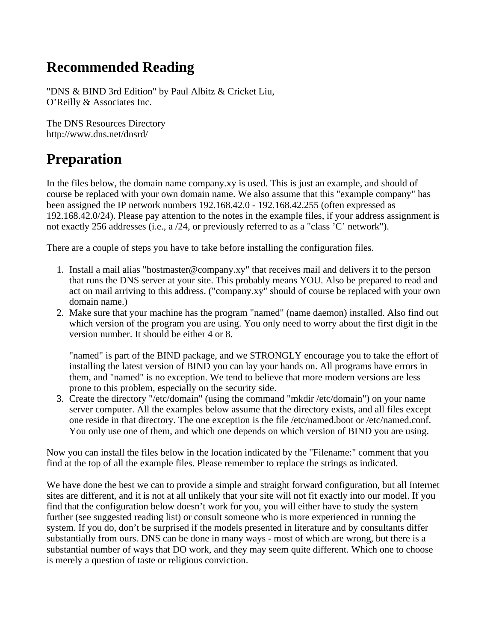#### **Recommended Reading**

"DNS & BIND 3rd Edition" by Paul Albitz & Cricket Liu, O'Reilly & Associates Inc.

The DNS Resources Directory http://www.dns.net/dnsrd/

#### **Preparation**

In the files below, the domain name company.xy is used. This is just an example, and should of course be replaced with your own domain name. We also assume that this "example company" has been assigned the IP network numbers 192.168.42.0 - 192.168.42.255 (often expressed as 192.168.42.0/24). Please pay attention to the notes in the example files, if your address assignment is not exactly 256 addresses (i.e., a /24, or previously referred to as a "class 'C' network").

There are a couple of steps you have to take before installing the configuration files.

- 1. Install a mail alias "hostmaster@company.xy" that receives mail and delivers it to the person that runs the DNS server at your site. This probably means YOU. Also be prepared to read and act on mail arriving to this address. ("company.xy" should of course be replaced with your own domain name.)
- 2. Make sure that your machine has the program "named" (name daemon) installed. Also find out which version of the program you are using. You only need to worry about the first digit in the version number. It should be either 4 or 8.

"named" is part of the BIND package, and we STRONGLY encourage you to take the effort of installing the latest version of BIND you can lay your hands on. All programs have errors in them, and "named" is no exception. We tend to believe that more modern versions are less prone to this problem, especially on the security side.

3. Create the directory "/etc/domain" (using the command "mkdir /etc/domain") on your name server computer. All the examples below assume that the directory exists, and all files except one reside in that directory. The one exception is the file /etc/named.boot or /etc/named.conf. You only use one of them, and which one depends on which version of BIND you are using.

Now you can install the files below in the location indicated by the "Filename:" comment that you find at the top of all the example files. Please remember to replace the strings as indicated.

We have done the best we can to provide a simple and straight forward configuration, but all Internet sites are different, and it is not at all unlikely that your site will not fit exactly into our model. If you find that the configuration below doesn't work for you, you will either have to study the system further (see suggested reading list) or consult someone who is more experienced in running the system. If you do, don't be surprised if the models presented in literature and by consultants differ substantially from ours. DNS can be done in many ways - most of which are wrong, but there is a substantial number of ways that DO work, and they may seem quite different. Which one to choose is merely a question of taste or religious conviction.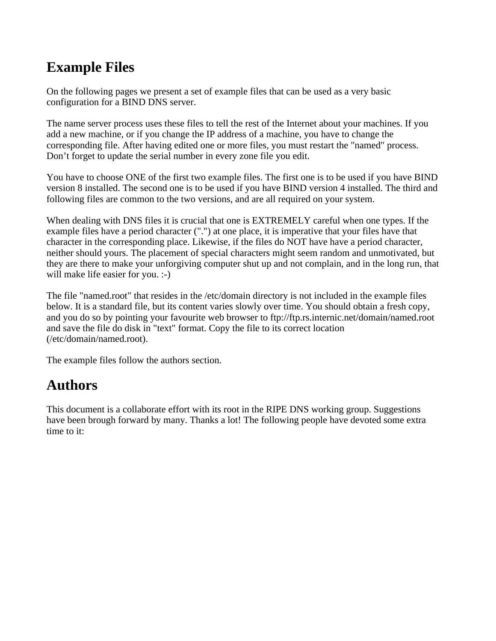#### **Example Files**

On the following pages we present a set of example files that can be used as a very basic configuration for a BIND DNS server.

The name server process uses these files to tell the rest of the Internet about your machines. If you add a new machine, or if you change the IP address of a machine, you have to change the corresponding file. After having edited one or more files, you must restart the "named" process. Don't forget to update the serial number in every zone file you edit.

You have to choose ONE of the first two example files. The first one is to be used if you have BIND version 8 installed. The second one is to be used if you have BIND version 4 installed. The third and following files are common to the two versions, and are all required on your system.

When dealing with DNS files it is crucial that one is EXTREMELY careful when one types. If the example files have a period character (".") at one place, it is imperative that your files have that character in the corresponding place. Likewise, if the files do NOT have have a period character, neither should yours. The placement of special characters might seem random and unmotivated, but they are there to make your unforgiving computer shut up and not complain, and in the long run, that will make life easier for you. :-)

The file "named.root" that resides in the /etc/domain directory is not included in the example files below. It is a standard file, but its content varies slowly over time. You should obtain a fresh copy, and you do so by pointing your favourite web browser to ftp://ftp.rs.internic.net/domain/named.root and save the file do disk in "text" format. Copy the file to its correct location (/etc/domain/named.root).

The example files follow the authors section.

## **Authors**

This document is a collaborate effort with its root in the RIPE DNS working group. Suggestions have been brough forward by many. Thanks a lot! The following people have devoted some extra time to it: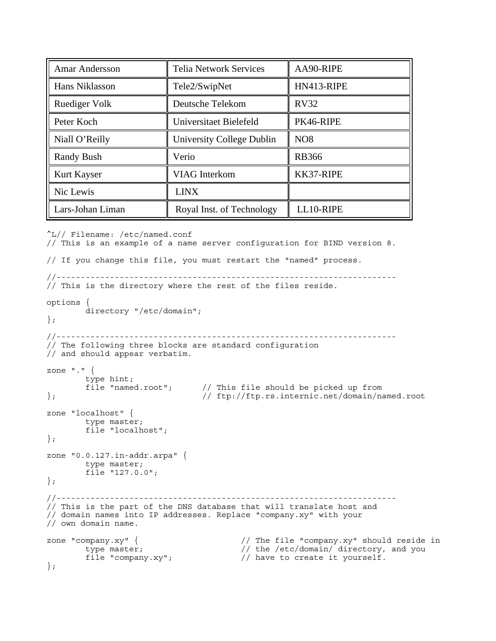| <b>Amar Andersson</b> | <b>Telia Network Services</b> | AA90-RIPE       |
|-----------------------|-------------------------------|-----------------|
| Hans Niklasson        | Tele2/SwipNet                 | HN413-RIPE      |
| <b>Ruediger Volk</b>  | Deutsche Telekom              | <b>RV32</b>     |
| Peter Koch            | Universitaet Bielefeld        | PK46-RIPE       |
| Niall O'Reilly        | University College Dublin     | NO <sub>8</sub> |
| <b>Randy Bush</b>     | Verio                         | <b>RB366</b>    |
| Kurt Kayser           | <b>VIAG</b> Interkom          | KK37-RIPE       |
| Nic Lewis             | <b>LINX</b>                   |                 |
| Lars-Johan Liman      | Royal Inst. of Technology     | LL10-RIPE       |

```
^L// Filename: /etc/named.conf
// This is an example of a name server configuration for BIND version 8.
// If you change this file, you must restart the "named" process.
//----------------------------------------------------------------------
// This is the directory where the rest of the files reside.
options {
         directory "/etc/domain";
};
//----------------------------------------------------------------------
// The following three blocks are standard configuration
// and should appear verbatim.
zone "." {
        type hint;<br>file "named.root";
file "named.root"; // This file should be picked up from<br>// ftp://ftp.rs.internic.net/domain/na
                                   }; // ftp://ftp.rs.internic.net/domain/named.root
zone "localhost" {
        type master;
         file "localhost";
};
zone "0.0.127.in-addr.arpa" {
         type master;
         file "127.0.0";
};
//----------------------------------------------------------------------
// This is the part of the DNS database that will translate host and
// domain names into IP addresses. Replace "company.xy" with your
// own domain name.
zone "company.xy" { \prime // The file "company.xy" should reside in<br>type master; \prime // the /etc/domain/ directory, and you
                                           // the /etc/domain/ directory, and you
        file "company.xy"; \frac{1}{2} // have to create it yourself.
};
```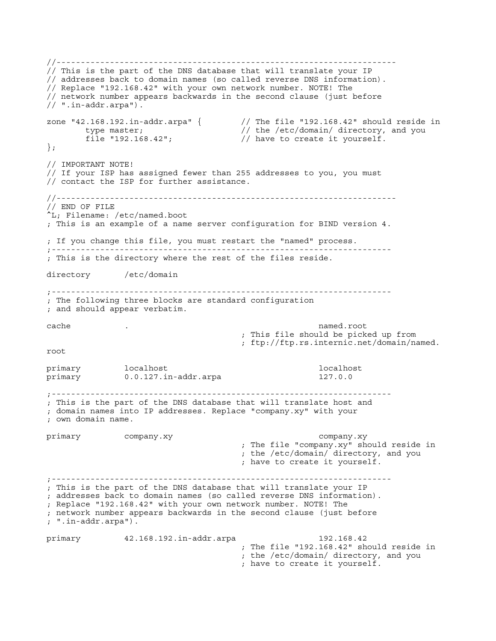//---------------------------------------------------------------------- // This is the part of the DNS database that will translate your IP // addresses back to domain names (so called reverse DNS information). // Replace "192.168.42" with your own network number. NOTE! The // network number appears backwards in the second clause (just before // ".in-addr.arpa"). zone "42.168.192.in-addr.arpa" { // The file "192.168.42" should reside in type master;<br>file "192.168.42";<br>// have to create it yourself.  $\frac{1}{2}$  have to create it yourself. }; // IMPORTANT NOTE! // If your ISP has assigned fewer than 255 addresses to you, you must // contact the ISP for further assistance. //---------------------------------------------------------------------- // END OF FILE ^L; Filename: /etc/named.boot ; This is an example of a name server configuration for BIND version 4. ; If you change this file, you must restart the "named" process. ;---------------------------------------------------------------------- ; This is the directory where the rest of the files reside. directory /etc/domain ;---------------------------------------------------------------------- ; The following three blocks are standard configuration ; and should appear verbatim. cache . named.root ; This file should be picked up from ; ftp://ftp.rs.internic.net/domain/named. root primary localhost local is a contract of the local local host local host local host local host local host local host primary 0.0.127.in-addr.arpa 127.0.0 ;---------------------------------------------------------------------- ; This is the part of the DNS database that will translate host and ; domain names into IP addresses. Replace "company.xy" with your ; own domain name. primary company.xy company.xy ; The file "company.xy" should reside in ; the /etc/domain/ directory, and you ; have to create it yourself. ;---------------------------------------------------------------------- ; This is the part of the DNS database that will translate your IP ; addresses back to domain names (so called reverse DNS information). ; Replace "192.168.42" with your own network number. NOTE! The ; network number appears backwards in the second clause (just before ; ".in-addr.arpa"). primary 42.168.192.in-addr.arpa 192.168.42 ; The file "192.168.42" should reside in ; the /etc/domain/ directory, and you ; have to create it yourself.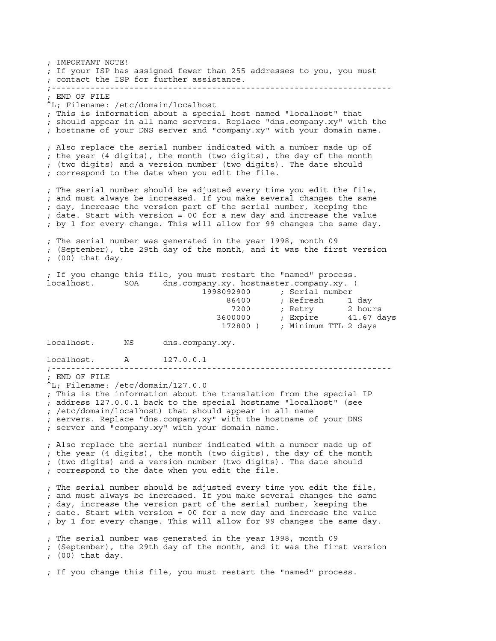; IMPORTANT NOTE! ; If your ISP has assigned fewer than 255 addresses to you, you must ; contact the ISP for further assistance. ;---------------------------------------------------------------------- ; END OF FILE ^L; Filename: /etc/domain/localhost ; This is information about a special host named "localhost" that ; should appear in all name servers. Replace "dns.company.xy" with the ; hostname of your DNS server and "company.xy" with your domain name. ; Also replace the serial number indicated with a number made up of ; the year (4 digits), the month (two digits), the day of the month ; (two digits) and a version number (two digits). The date should ; correspond to the date when you edit the file. ; The serial number should be adjusted every time you edit the file, ; and must always be increased. If you make several changes the same ; day, increase the version part of the serial number, keeping the ; date. Start with version = 00 for a new day and increase the value ; by 1 for every change. This will allow for 99 changes the same day. ; The serial number was generated in the year 1998, month 09 ; (September), the 29th day of the month, and it was the first version ; (00) that day. ; If you change this file, you must restart the "named" process. localhost. SOA dns.company.xy. hostmaster.company.xy. ( 1998092900 ; Serial number 86400 ; Refresh 1 day z 1200 ; Retry 2 hours 1200 ; Retry 2 hours 3600000 ; Expire 41.67 days 172800 ) ; Minimum TTL 2 days localhost. NS dns.company.xy. localhost. A 127.0.0.1 ;---------------------------------------------------------------------- ; END OF FILE ^L; Filename: /etc/domain/127.0.0 ; This is the information about the translation from the special IP ; address 127.0.0.1 back to the special hostname "localhost" (see ; /etc/domain/localhost) that should appear in all name ; servers. Replace "dns.company.xy" with the hostname of your DNS ; server and "company.xy" with your domain name. ; Also replace the serial number indicated with a number made up of ; the year (4 digits), the month (two digits), the day of the month ; (two digits) and a version number (two digits). The date should ; correspond to the date when you edit the file. ; The serial number should be adjusted every time you edit the file, ; and must always be increased. If you make several changes the same ; day, increase the version part of the serial number, keeping the ; date. Start with version = 00 for a new day and increase the value ; by 1 for every change. This will allow for 99 changes the same day. ; The serial number was generated in the year 1998, month 09 ; (September), the 29th day of the month, and it was the first version ; (00) that day. ; If you change this file, you must restart the "named" process.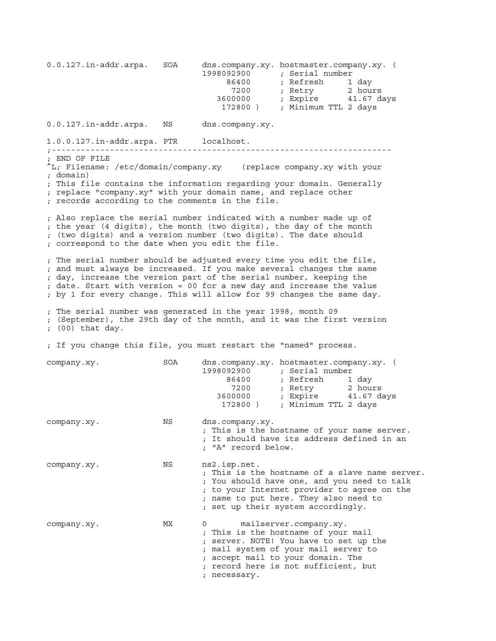0.0.127.in-addr.arpa. SOA dns.company.xy. hostmaster.company.xy. ( 1998092900 ; Serial number<br>86400 ; Refresh 1 day 86400 ; Refresh<br>7200 ; Retry z 1200 ; Retry 2 hours 1200 ; Retry 2 hours 3600000 ; Expire 41.67 days 172800 ) ; Minimum TTL 2 days 0.0.127.in-addr.arpa. NS dns.company.xy. 1.0.0.127.in-addr.arpa. PTR localhost. ;---------------------------------------------------------------------- ; END OF FILE ^L; Filename: /etc/domain/company.xy (replace company.xy with your ; domain) ; This file contains the information regarding your domain. Generally ; replace "company.xy" with your domain name, and replace other ; records according to the comments in the file. ; Also replace the serial number indicated with a number made up of ; the year (4 digits), the month (two digits), the day of the month ; (two digits) and a version number (two digits). The date should ; correspond to the date when you edit the file. ; The serial number should be adjusted every time you edit the file, ; and must always be increased. If you make several changes the same ; day, increase the version part of the serial number, keeping the ; date. Start with version = 00 for a new day and increase the value ; by 1 for every change. This will allow for 99 changes the same day. ; The serial number was generated in the year 1998, month 09 ; (September), the 29th day of the month, and it was the first version ; (00) that day. ; If you change this file, you must restart the "named" process. company.xy. SOA dns.company.xy. hostmaster.company.xy. ( 1998092900 ; Serial number 86400 ; Refresh 1 day z 1200 ; Retry 2 hours 1200 ; Retry 2 hours 3600000 ; Expire 41.67 days 172800 ) ; Minimum TTL 2 days company.xy. NS dns.company.xy. ; This is the hostname of your name server. ; It should have its address defined in an ; "A" record below. company.xy. NS ns2.isp.net. ; This is the hostname of a slave name server. ; You should have one, and you need to talk ; to your Internet provider to agree on the ; name to put here. They also need to ; set up their system accordingly. company.xy. MX 0 mailserver.company.xy. ; This is the hostname of your mail ; server. NOTE! You have to set up the ; mail system of your mail server to ; accept mail to your domain. The ; record here is not sufficient, but ; necessary.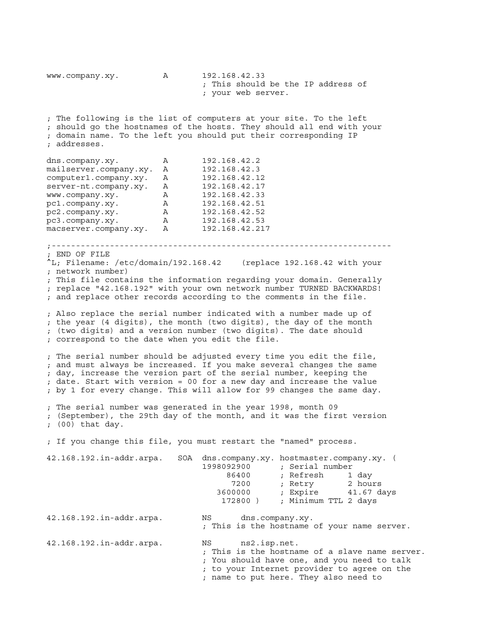www.company.xy. A 192.168.42.33 ; This should be the IP address of ; your web server. ; The following is the list of computers at your site. To the left ; should go the hostnames of the hosts. They should all end with your ; domain name. To the left you should put their corresponding IP ; addresses. dns.company.xy. A 192.168.42.2 mailserver.company.xy. A 192.168.42.3 computer1.company.xy. A 192.168.42.12 server-nt.company.xy. A 192.168.42.17 www.company.xy. A 192.168.42.33 pc1.company.xy. A 192.168.42.51 pc2.company.xy. A 192.168.42.52 pc3.company.xy. A 192.168.42.53 macserver.company.xy. A 192.168.42.217 ;---------------------------------------------------------------------- ; END OF FILE  $\Delta$ L; Filename: /etc/domain/192.168.42 (replace 192.168.42 with your ; network number) ; This file contains the information regarding your domain. Generally ; replace "42.168.192" with your own network number TURNED BACKWARDS! ; and replace other records according to the comments in the file. ; Also replace the serial number indicated with a number made up of ; the year (4 digits), the month (two digits), the day of the month ; (two digits) and a version number (two digits). The date should ; correspond to the date when you edit the file. ; The serial number should be adjusted every time you edit the file, ; and must always be increased. If you make several changes the same ; day, increase the version part of the serial number, keeping the ; date. Start with version = 00 for a new day and increase the value ; by 1 for every change. This will allow for 99 changes the same day. ; The serial number was generated in the year 1998, month 09 ; (September), the 29th day of the month, and it was the first version ; (00) that day. ; If you change this file, you must restart the "named" process. 42.168.192.in-addr.arpa. SOA dns.company.xy. hostmaster.company.xy. ( 1998092900 ; Serial number 86400 ; Refresh 1 day z 1200 ; Retry 2 hours 1200 ; Retry 2 hours 3600000 ; Expire 41.67 days 172800 ) ; Minimum TTL 2 days 42.168.192.in-addr.arpa. NS dns.company.xy. ; This is the hostname of your name server. 42.168.192.in-addr.arpa. NS ns2.isp.net. ; This is the hostname of a slave name server. ; You should have one, and you need to talk ; to your Internet provider to agree on the ; name to put here. They also need to